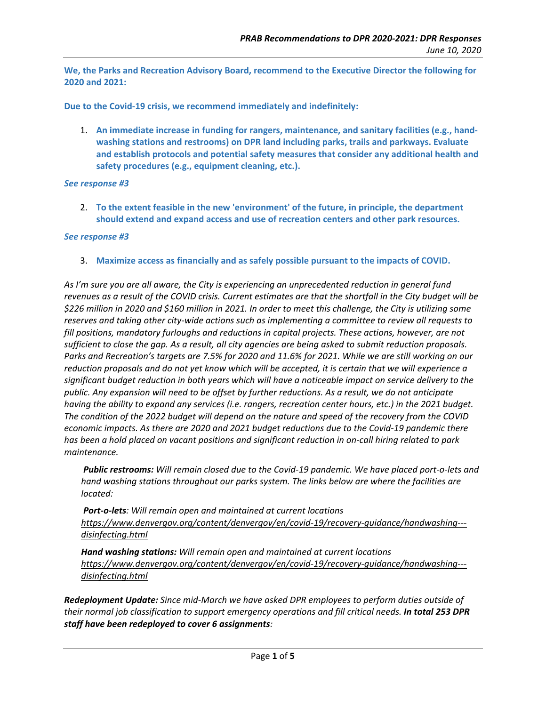We, the Parks and Recreation Advisory Board, recommend to the Executive Director the following for  **2020 and 2021:**

 **Due to the Covid‐19 crisis, we recommend immediately and indefinitely:**

1. An immediate increase in funding for rangers, maintenance, and sanitary facilities (e.g., hand- **washing stations and restrooms) on DPR land including parks, trails and parkways. Evaluate and establish protocols and potential safety measures that consider any additional health and safety procedures (e.g., equipment cleaning, etc.).**

## *See response #3*

2. To the extent feasible in the new 'environment' of the future, in principle, the department should extend and expand access and use of recreation centers and other park resources.

## *See response #3*

3. Maximize access as financially and as safely possible pursuant to the impacts of COVID.

As I'm sure you are all aware, the City is experiencing an unprecedented reduction in general fund revenues as a result of the COVID crisis. Current estimates are that the shortfall in the City budget will be \$226 million in 2020 and \$160 million in 2021. In order to meet this challenge, the City is utilizing some reserves and taking other city-wide actions such as implementing a committee to review all requests to fill positions, mandatory furloughs and reductions in capital projects. These actions, however, are not sufficient to close the gap. As a result, all city agencies are being asked to submit reduction proposals. Parks and Recreation's targets are 7.5% for 2020 and 11.6% for 2021. While we are still working on our reduction proposals and do not yet know which will be accepted, it is certain that we will experience a significant budget reduction in both years which will have a noticeable impact on service delivery to the public. Any expansion will need to be offset by further reductions. As a result, we do not anticipate having the ability to expand any services (i.e. rangers, recreation center hours, etc.) in the 2021 budget. The condition of the 2022 budget will depend on the nature and speed of the recovery from the COVID economic impacts. As there are 2020 and 2021 budget reductions due to the Covid-19 pandemic there has been a hold placed on vacant positions and significant reduction in on-call hiring related to park  *maintenance.*

Public restrooms: Will remain closed due to the Covid-19 pandemic. We have placed port-o-lets and hand washing stations throughout our parks system. The links below are where the facilities are  *located:*

 *Port‐o‐lets: Will remain open and maintained at current locations [https://www.denvergov.org/content/denvergov/en/covid](https://www.denvergov.org/content/denvergov/en/covid-19/recovery-guidance/handwashing)‐19/recovery‐guidance/handwashing‐‐‐ disinfecting.html*

 *Hand washing stations: Will remain open and maintained at current locations [https://www.denvergov.org/content/denvergov/en/covid](https://www.denvergov.org/content/denvergov/en/covid-19/recovery-guidance/handwashing)‐19/recovery‐guidance/handwashing‐‐‐ disinfecting.html*

Redeployment Update: Since mid-March we have asked DPR employees to perform duties outside of their normal job classification to support emergency operations and fill critical needs. **In total 253 DPR**  *staff have been redeployed to cover 6 assignments:*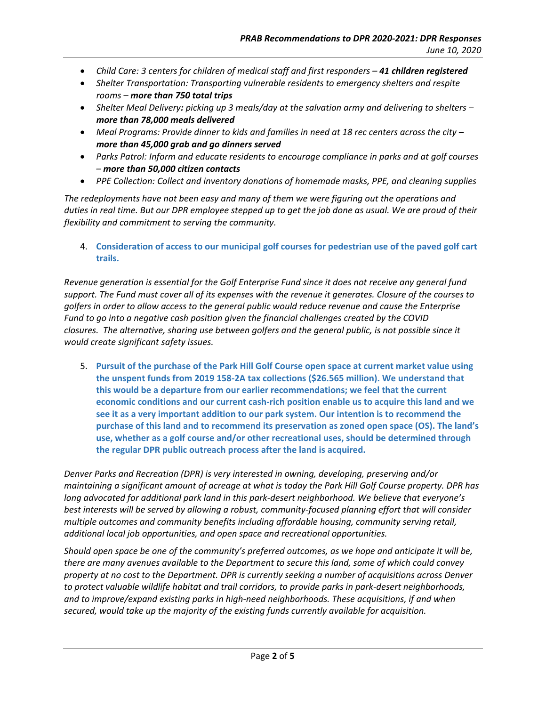- Child Care: 3 centers for children of medical staff and first responders 41 children registered
- *Shelter Transportation: Transporting vulnerable residents to emergency shelters and respite rooms – more than 750 total trips*
- Shelter Meal Delivery: picking up 3 meals/day at the salvation army and delivering to shelters - *more than 78,000 meals delivered*
- Meal Programs: Provide dinner to kids and families in need at 18 rec centers across the city - *more than 45,000 grab and go dinners served*
- Parks Patrol: Inform and educate residents to encourage compliance in parks and at golf courses  *– more than 50,000 citizen contacts*
- *PPE Collection: Collect and inventory donations of homemade masks, PPE, and cleaning supplies*

The redeployments have not been easy and many of them we were figuring out the operations and duties in real time. But our DPR employee stepped up to get the job done as usual. We are proud of their  *flexibility and commitment to serving the community.*

4. Consideration of access to our municipal golf courses for pedestrian use of the paved golf cart  **trails.**

Revenue generation is essential for the Golf Enterprise Fund since it does not receive any general fund support. The Fund must cover all of its expenses with the revenue it generates. Closure of the courses to golfers in order to allow access to the general public would reduce revenue and cause the Enterprise Fund to go into a negative cash position given the financial challenges created by the COVID closures. The alternative, sharing use between golfers and the general public, is not possible since it  *would create significant safety issues.*

5. Pursuit of the purchase of the Park Hill Golf Course open space at current market value using the unspent funds from 2019 158-2A tax collections (\$26.565 million). We understand that  **this would be a departure from our earlier recommendations; we feel that the current** economic conditions and our current cash-rich position enable us to acquire this land and we see it as a very important addition to our park system. Our intention is to recommend the purchase of this land and to recommend its preservation as zoned open space (OS). The land's use, whether as a golf course and/or other recreational uses, should be determined through  **the regular DPR public outreach process after the land is acquired.**

 *Denver Parks and Recreation (DPR) is very interested in owning, developing, preserving and/or* maintaining a significant amount of acreage at what is today the Park Hill Golf Course property. DPR has long advocated for additional park land in this park-desert neighborhood. We believe that everyone's best interests will be served by allowing a robust, community-focused planning effort that will consider  *multiple outcomes and community benefits including affordable housing, community serving retail, additional local job opportunities, and open space and recreational opportunities.*

Should open space be one of the community's preferred outcomes, as we hope and anticipate it will be, there are many avenues available to the Department to secure this land, some of which could convey property at no cost to the Department. DPR is currently seeking a number of acquisitions across Denver to protect valuable wildlife habitat and trail corridors, to provide parks in park-desert neighborhoods, and to improve/expand existing parks in high-need neighborhoods. These acquisitions, if and when secured, would take up the majority of the existing funds currently available for acquisition.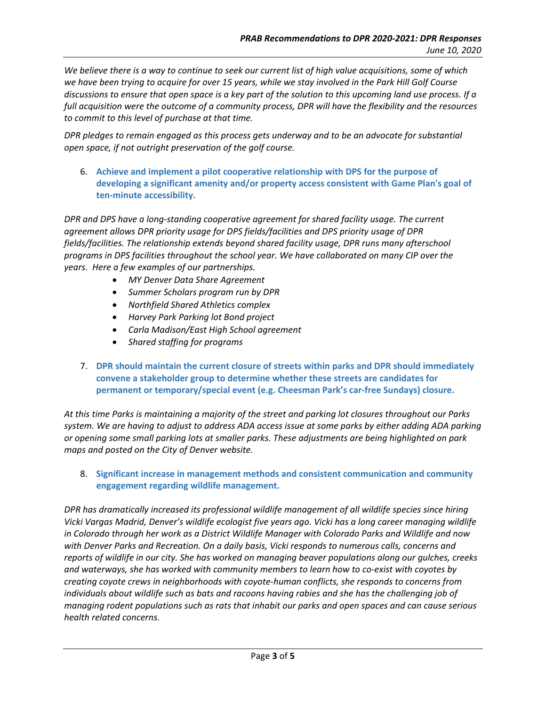We believe there is a way to continue to seek our current list of high value acquisitions, some of which we have been trying to acquire for over 15 years, while we stay involved in the Park Hill Golf Course discussions to ensure that open space is a key part of the solution to this upcoming land use process. If a full acquisition were the outcome of a community process, DPR will have the flexibility and the resources  *to commit to this level of purchase at that time.*

DPR pledges to remain engaged as this process gets underway and to be an advocate for substantial  *open space, if not outright preservation of the golf course.*

 6. **Achieve and implement a pilot cooperative relationship with DPS for the purpose of developing a significant amenity and/or property access consistent with Game Plan's goal of ten‐minute accessibility.**

DPR and DPS have a long-standing cooperative agreement for shared facility usage. The current agreement allows DPR priority usage for DPS fields/facilities and DPS priority usage of DPR  *fields/facilities. The relationship extends beyond shared facility usage, DPR runs many afterschool* programs in DPS facilities throughout the school year. We have collaborated on many CIP over the  *years. Here a few examples of our partnerships.*

- *MY Denver Data Share Agreement*
- *Summer Scholars program run by DPR*
- *Northfield Shared Athletics complex*
- *Harvey Park Parking lot Bond project*
- *Carla Madison/East High School agreement*
- *Shared staffing for programs*
- 7. DPR should maintain the current closure of streets within parks and DPR should immediately  **convene a stakeholder group to determine whether these streets are candidates for permanent or temporary/special event (e.g. Cheesman Park's car‐free Sundays) closure.**

At this time Parks is maintaining a majority of the street and parking lot closures throughout our Parks system. We are having to adjust to address ADA access issue at some parks by either adding ADA parking or opening some small parking lots at smaller parks. These adjustments are being highlighted on park  *maps and posted on the City of Denver website.*

 8. **Significant increase in management methods and consistent communication and community engagement regarding wildlife management.**

DPR has dramatically increased its professional wildlife management of all wildlife species since hiring Vicki Vargas Madrid, Denver's wildlife ecologist five years ago. Vicki has a long career managing wildlife in Colorado through her work as a District Wildlife Manager with Colorado Parks and Wildlife and now with Denver Parks and Recreation. On a daily basis, Vicki responds to numerous calls, concerns and reports of wildlife in our city. She has worked on managing beaver populations along our gulches, creeks and waterways, she has worked with community members to learn how to co-exist with coyotes by creating coyote crews in neighborhoods with coyote-human conflicts, she responds to concerns from individuals about wildlife such as bats and racoons having rabies and she has the challenging job of managing rodent populations such as rats that inhabit our parks and open spaces and can cause serious  *health related concerns.*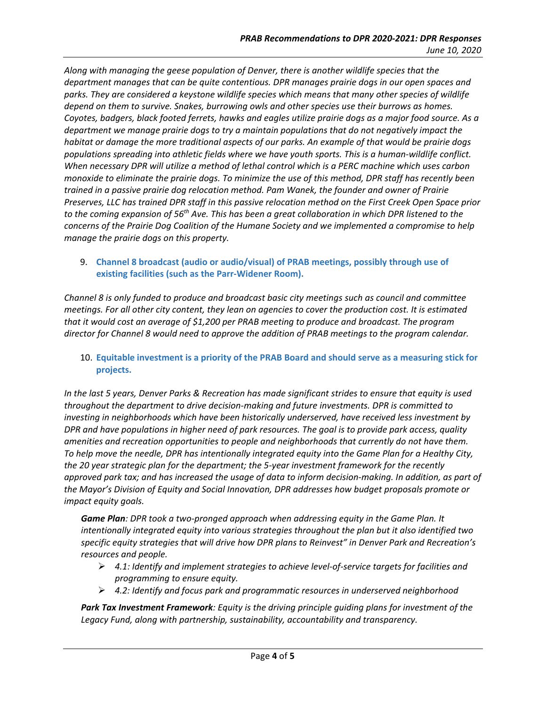Along with managing the geese population of Denver, there is another wildlife species that the department manages that can be quite contentious. DPR manages prairie dogs in our open spaces and parks. They are considered a keystone wildlife species which means that many other species of wildlife depend on them to survive. Snakes, burrowing owls and other species use their burrows as homes. Coyotes, badgers, black footed ferrets, hawks and eagles utilize prairie dogs as a major food source. As a department we manage prairie dogs to try a maintain populations that do not negatively impact the habitat or damage the more traditional aspects of our parks. An example of that would be prairie dogs populations spreading into athletic fields where we have youth sports. This is a human-wildlife conflict. When necessary DPR will utilize a method of lethal control which is a PERC machine which uses carbon monoxide to eliminate the prairie dogs. To minimize the use of this method, DPR staff has recently been trained in a passive prairie dog relocation method. Pam Wanek, the founder and owner of Prairie Preserves, LLC has trained DPR staff in this passive relocation method on the First Creek Open Space prior to the coming expansion of 56<sup>th</sup> Ave. This has been a great collaboration in which DPR listened to the concerns of the Prairie Dog Coalition of the Humane Society and we implemented a compromise to help  *manage the prairie dogs on this property.*

9. Channel 8 broadcast (audio or audio/visual) of PRAB meetings, possibly through use of  **existing facilities (such as the Parr‐Widener Room).**

Channel 8 is only funded to produce and broadcast basic city meetings such as council and committee meetings. For all other city content, they lean on agencies to cover the production cost. It is estimated that it would cost an average of \$1,200 per PRAB meeting to produce and broadcast. The program director for Channel 8 would need to approve the addition of PRAB meetings to the program calendar.

## 10. Equitable investment is a priority of the PRAB Board and should serve as a measuring stick for  **projects.**

In the last 5 years, Denver Parks & Recreation has made significant strides to ensure that equity is used throughout the department to drive decision-making and future investments. DPR is committed to investing in neighborhoods which have been historically underserved, have received less investment by DPR and have populations in higher need of park resources. The goal is to provide park access, quality amenities and recreation opportunities to people and neighborhoods that currently do not have them. To help move the needle, DPR has intentionally integrated equity into the Game Plan for a Healthy City, the 20 year strategic plan for the department; the 5-year investment framework for the recently approved park tax; and has increased the usage of data to inform decision-making. In addition, as part of the Mayor's Division of Equity and Social Innovation, DPR addresses how budget proposals promote or  *impact equity goals.*

Game Plan: DPR took a two-pronged approach when addressing equity in the Game Plan. It intentionally integrated equity into various strategies throughout the plan but it also identified two specific equity strategies that will drive how DPR plans to Reinvest" in Denver Park and Recreation's  *resources and people.*

- $\triangleright$  4.1: Identify and implement strategies to achieve level-of-service targets for facilities and  *programming to ensure equity.*
- *4.2: Identify and focus park and programmatic resources in underserved neighborhood*

Park Tax Investment Framework: Equity is the driving principle guiding plans for investment of the  *Legacy Fund, along with partnership, sustainability, accountability and transparency.*